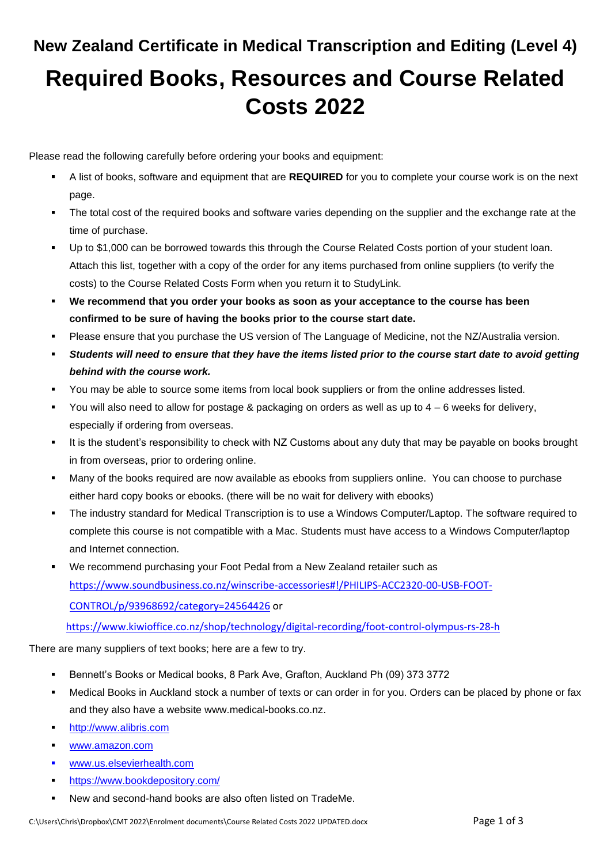# **New Zealand Certificate in Medical Transcription and Editing (Level 4) Required Books, Resources and Course Related Costs 2022**

Please read the following carefully before ordering your books and equipment:

- A list of books, software and equipment that are **REQUIRED** for you to complete your course work is on the next page.
- The total cost of the required books and software varies depending on the supplier and the exchange rate at the time of purchase.
- Up to \$1,000 can be borrowed towards this through the Course Related Costs portion of your student loan. Attach this list, together with a copy of the order for any items purchased from online suppliers (to verify the costs) to the Course Related Costs Form when you return it to StudyLink.
- **We recommend that you order your books as soon as your acceptance to the course has been confirmed to be sure of having the books prior to the course start date.**
- Please ensure that you purchase the US version of The Language of Medicine, not the NZ/Australia version.
- Students will need to ensure that they have the items listed prior to the course start date to avoid getting *behind with the course work.*
- You may be able to source some items from local book suppliers or from the online addresses listed.
- You will also need to allow for postage & packaging on orders as well as up to  $4 6$  weeks for delivery, especially if ordering from overseas.
- It is the student's responsibility to check with NZ Customs about any duty that may be payable on books brought in from overseas, prior to ordering online.
- Many of the books required are now available as ebooks from suppliers online. You can choose to purchase either hard copy books or ebooks. (there will be no wait for delivery with ebooks)
- The industry standard for Medical Transcription is to use a Windows Computer/Laptop. The software required to complete this course is not compatible with a Mac. Students must have access to a Windows Computer/laptop and Internet connection.
- We recommend purchasing your Foot Pedal from a New Zealand retailer such as [https://www.soundbusiness.co.nz/winscribe-accessories#!/PHILIPS-ACC2320-00-USB-FOOT-](https://www.soundbusiness.co.nz/winscribe-accessories#!/PHILIPS-ACC2320-00-USB-FOOT-CONTROL/p/93968692/category=24564426)[CONTROL/p/93968692/category=24564426](https://www.soundbusiness.co.nz/winscribe-accessories#!/PHILIPS-ACC2320-00-USB-FOOT-CONTROL/p/93968692/category=24564426) or

<https://www.kiwioffice.co.nz/shop/technology/digital-recording/foot-control-olympus-rs-28-h>

There are many suppliers of text books; here are a few to try.

- Bennett's Books or Medical books, 8 Park Ave, Grafton, Auckland Ph (09) 373 3772
- Medical Books in Auckland stock a number of texts or can order in for you. Orders can be placed by phone or fax and they also have a website [www.medical-books.co.nz.](http://www.medical-books.co.nz/)
- **E** [http://www.alibris.com](http://www.alibris.com/)
- [www.amazon.com](http://www.amazon.com/)
- [www.us.elsevierhealth.com](http://www.us.elsevierhealth.com/)
- <https://www.bookdepository.com/>
- New and second-hand books are also often listed on TradeMe.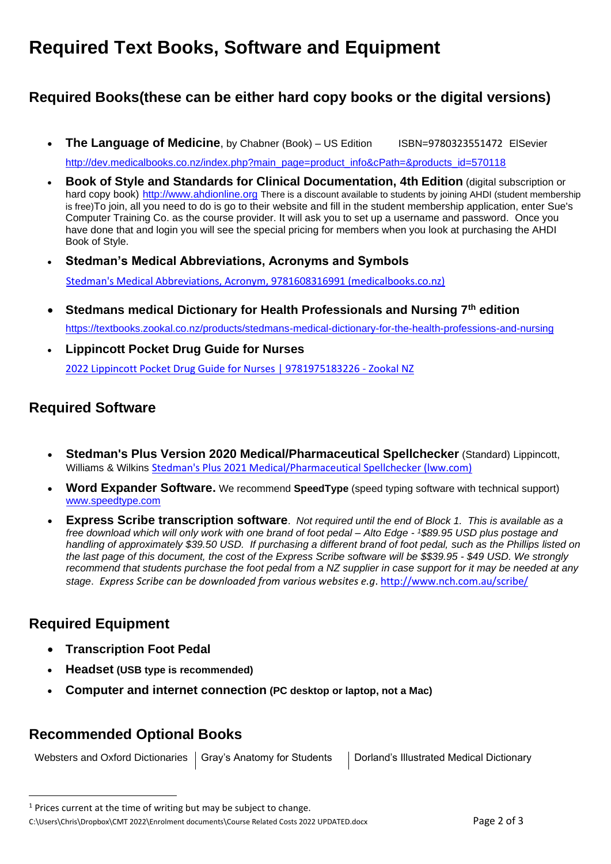## **Required Text Books, Software and Equipment**

### **Required Books(these can be either hard copy books or the digital versions)**

**The Language of Medicine**, by Chabner (Book) – US Edition ISBN=9780323551472 ElSevier

[http://dev.medicalbooks.co.nz/index.php?main\\_page=product\\_info&cPath=&products\\_id=570118](http://dev.medicalbooks.co.nz/index.php?main_page=product_info&cPath=&products_id=570118)

- **Book of Style and Standards for Clinical Documentation, 4th Edition** (digital subscription or hard copy book) [http://www.ahdionline.org](http://www.ahdionline.org/) There is a discount available to students by joining AHDI (student membership is free)To join, all you need to do is go to their website and fill in the student membership application, enter Sue's Computer Training Co. as the course provider. It will ask you to set up a username and password. Once you have done that and login you will see the special pricing for members when you look at purchasing the AHDI Book of Style.
- **Stedman's Medical Abbreviations, Acronyms and Symbols** Stedman's [Medical Abbreviations, Acronym, 9781608316991 \(medicalbooks.co.nz\)](http://dev.medicalbooks.co.nz/medical-amp-surgical/c-d/dictionaries/stedmans-medical-abbreviations-acronyms-symbols-9781608316991?cPath=&)
- **Stedmans medical Dictionary for Health Professionals and Nursing 7th edition** [https://textbooks.zookal.co.nz/products/stedmans-medical-dictionary-for-the-health-professions-and-nursing](https://textbooks.zookal.co.nz/products/stedmans-medical-dictionary-for-the-health-professions-and-nursing-9781608316922?variant=34127045394568&gclid=CjwKCAiAgbiQBhAHEiwAuQ6BkiuREGBuDrWap2Qpd8laCXMMG0nszzQL-mQt5wKciUwYAAtikzzNTxoCV1IQAvD_BwE)
- **Lippincott Pocket Drug Guide for Nurses** [2022 Lippincott Pocket Drug Guide for Nurses | 9781975183226 -](https://textbooks.zookal.co.nz/products/2022-lippincott-pocket-drug-guide-for-nurses-9781975183226?variant=39682061697160) Zookal NZ

#### **Required Software**

- **Stedman's Plus Version 2020 Medical/Pharmaceutical Spellchecker** (Standard) Lippincott, Williams & Wilkins [Stedman's Plus 2021 Medical/Pharmaceutical Spellchecker \(lww.com\)](https://shop.lww.com/Stedman-s-Plus-2021-Medical-Pharmaceutical-Spellchecker/p/9781975164324)
- **Word Expander Software.** We recommend **SpeedType** (speed typing software with technical support) [www.speedtype.com](http://www.speedtype.com/)
- **Express Scribe transcription software**. *Not required until the end of Block 1. This is available as a free download which will only work with one brand of foot pedal – Alto Edge - <sup>1</sup>\$89.95 USD plus postage and handling of approximately \$39.50 USD. If purchasing a different brand of foot pedal, such as the Phillips listed on the last page of this document, the cost of the Express Scribe software will be \$\$39.95 - \$49 USD. We strongly recommend that students purchase the foot pedal from a NZ supplier in case support for it may be needed at any stage*. *Express Scribe can be downloaded from various websites e.g*. <http://www.nch.com.au/scribe/>

#### **Required Equipment**

- **Transcription Foot Pedal**
- **Headset (USB type is recommended)**
- **Computer and internet connection (PC desktop or laptop, not a Mac)**

#### **Recommended Optional Books**

Websters and Oxford Dictionaries | Gray's Anatomy for Students | Dorland's Illustrated Medical Dictionary

 $1$  Prices current at the time of writing but may be subject to change.

C:\Users\Chris\Dropbox\CMT 2022\Enrolment documents\Course Related Costs 2022 UPDATED.docx Page 2 of 3